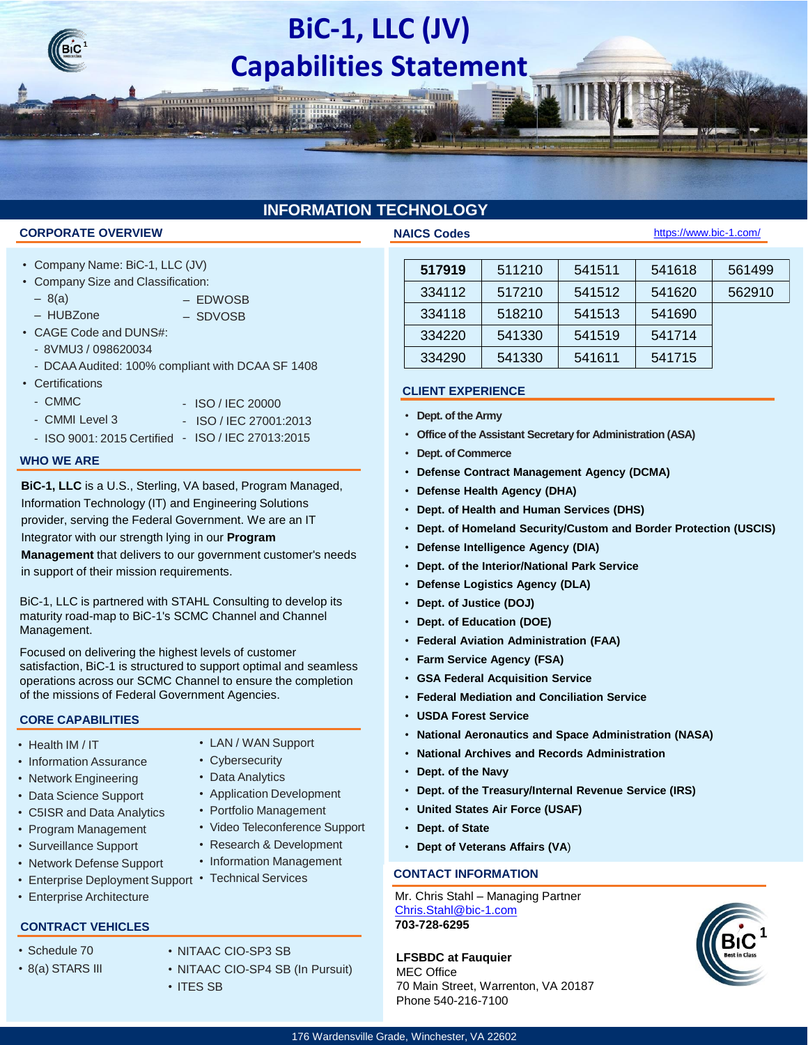# **BiC-1, LLC (JV) Capabilities Statement**

### **INFORMATION TECHNOLOGY**

#### **CORPORATE OVERVIEW THE SECOND SERVICE OF STATE OVERVIEW**

- Company Name: BiC-1, LLC (JV)
- Company Size and Classification:
	- $-8(a)$
	- HUBZone – SDVOSB
- CAGE Code and DUNS#:
	- 8VMU3 / 098620034
- DCAA Audited: 100% compliant with DCAA SF 1408
- Certifications
	- CMMC
- ISO / IEC 20000 - ISO / IEC 27001:2013

– EDWOSB

- CMMI Level 3
- ISO 9001: 2015 Certified ISO / IEC 27013:2015

#### **WHO WE ARE**

**BiC-1, LLC** is a U.S., Sterling, VA based, Program Managed, Information Technology (IT) and Engineering Solutions provider, serving the Federal Government. We are an IT Integrator with our strength lying in our **Program** 

**Management** that delivers to our government customer's needs in support of their mission requirements.

BiC-1, LLC is partnered with STAHL Consulting to develop its maturity road-map to BiC-1's SCMC Channel and Channel Management.

Focused on delivering the highest levels of customer satisfaction, BiC-1 is structured to support optimal and seamless operations across our SCMC Channel to ensure the completion of the missions of Federal Government Agencies.

#### **CORE CAPABILITIES**

- Health IM / IT
- Information Assurance
- Network Engineering
- Data Science Support
- C5ISR and Data Analytics
- Program Management
- Surveillance Support
- Network Defense Support
- Enterprise Deployment Support Technical Services
- Enterprise Architecture

### **CONTRACT VEHICLES**

- Schedule 70
- 8(a) STARS III
- NITAAC CIO-SP3 SB
- NITAAC CIO-SP4 SB (In Pursuit) • ITES SB

| 517919 | 511210 | 541511 | 541618 | 561499 |
|--------|--------|--------|--------|--------|
| 334112 | 517210 | 541512 | 541620 | 562910 |
| 334118 | 518210 | 541513 | 541690 |        |
| 334220 | 541330 | 541519 | 541714 |        |
| 334290 | 541330 | 541611 | 541715 |        |

<https://www.bic-1.com/>

### **CLIENT EXPERIENCE**

- **Dept. of the Army**
- **Office of the Assistant Secretary for Administration (ASA)**
- **Dept. of Commerce**
- **Defense Contract Management Agency (DCMA)**
- **Defense Health Agency (DHA)**
- **Dept. of Health and Human Services (DHS)**
- **Dept. of Homeland Security/Custom and Border Protection (USCIS)**
- **Defense Intelligence Agency (DIA)**
- **Dept. of the Interior/National Park Service**
- **Defense Logistics Agency (DLA)**
- **Dept. of Justice (DOJ)**
- **Dept. of Education (DOE)**
- **Federal Aviation Administration (FAA)**
- **Farm Service Agency (FSA)**
- **GSA Federal Acquisition Service**
- **Federal Mediation and Conciliation Service**
- **USDA Forest Service**
- **National Aeronautics and Space Administration (NASA)**
- **National Archives and Records Administration**
- **Dept. of the Navy**
- **Dept. of the Treasury/Internal Revenue Service (IRS)**
- **United States Air Force (USAF)**
- **Dept. of State**
- **Dept of Veterans Affairs (VA**)

### **CONTACT INFORMATION**

Mr. Chris Stahl – Managing Partner [Chris.Stahl@bic-1.com](mailto:Chris.Stahl@Stahl-Companies.com) **703-728-6295**

**LFSBDC at Fauquier** MEC Office 70 Main Street, Warrenton, VA 20187 Phone 540-216-7100



176 Wardensville Grade, Winchester, VA 22602

- LAN / WAN Support
	- Cybersecurity
	- Data Analytics
	- Application Development
	- Portfolio Management
	- Video Teleconference Support
	- Research & Development • Information Management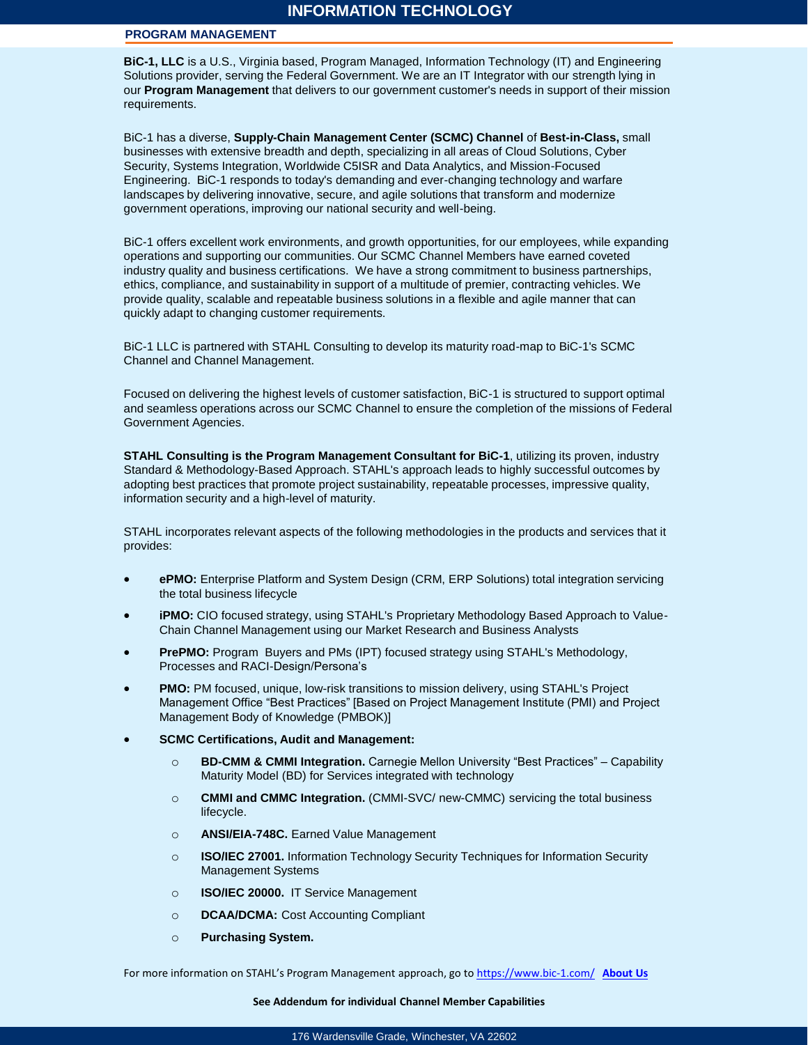#### **PROGRAM MANAGEMENT**

**BiC-1, LLC** is a U.S., Virginia based, Program Managed, Information Technology (IT) and Engineering Solutions provider, serving the Federal Government. We are an IT Integrator with our strength lying in our **Program Management** that delivers to our government customer's needs in support of their mission requirements.

BiC-1 has a diverse, **Supply-Chain Management Center (SCMC) Channel** of **Best-in-Class,** small businesses with extensive breadth and depth, specializing in all areas of Cloud Solutions, Cyber Security, Systems Integration, Worldwide C5ISR and Data Analytics, and Mission-Focused Engineering. BiC-1 responds to today's demanding and ever-changing technology and warfare landscapes by delivering innovative, secure, and agile solutions that transform and modernize government operations, improving our national security and well-being.

BiC-1 offers excellent work environments, and growth opportunities, for our employees, while expanding operations and supporting our communities. Our SCMC Channel Members have earned coveted industry quality and business certifications. We have a strong commitment to business partnerships, ethics, compliance, and sustainability in support of a multitude of premier, contracting vehicles. We provide quality, scalable and repeatable business solutions in a flexible and agile manner that can quickly adapt to changing customer requirements.

BiC-1 LLC is partnered with STAHL Consulting to develop its maturity road-map to BiC-1's SCMC Channel and Channel Management.

Focused on delivering the highest levels of customer satisfaction, BiC-1 is structured to support optimal and seamless operations across our SCMC Channel to ensure the completion of the missions of Federal Government Agencies.

**STAHL Consulting is the Program Management Consultant for BiC-1**, utilizing its proven, industry Standard & Methodology-Based Approach. STAHL's approach leads to highly successful outcomes by adopting best practices that promote project sustainability, repeatable processes, impressive quality, information security and a high-level of maturity.

STAHL incorporates relevant aspects of the following methodologies in the products and services that it provides:

- **ePMO:** Enterprise Platform and System Design (CRM, ERP Solutions) total integration servicing the total business lifecycle
- **iPMO:** CIO focused strategy, using STAHL's Proprietary Methodology Based Approach to Value-Chain Channel Management using our Market Research and Business Analysts
- **PrePMO:** Program Buyers and PMs (IPT) focused strategy using STAHL's Methodology, Processes and RACI-Design/Persona's
- **PMO:** PM focused, unique, low-risk transitions to mission delivery, using STAHL's Project Management Office "Best Practices" [Based on Project Management Institute (PMI) and Project Management Body of Knowledge (PMBOK)]
- **SCMC Certifications, Audit and Management:**
	- o **BD-CMM & CMMI Integration.** Carnegie Mellon University "Best Practices" Capability Maturity Model (BD) for Services integrated with technology
	- o **CMMI and CMMC Integration.** (CMMI-SVC/ new-CMMC) servicing the total business lifecycle.
	- o **ANSI/EIA-748C.** Earned Value Management
	- o **ISO/IEC 27001.** Information Technology Security Techniques for Information Security Management Systems
	- o **ISO/IEC 20000.** IT Service Management
	- o **DCAA/DCMA:** Cost Accounting Compliant
	- o **Purchasing System.**

For more information on STAHL's Program Management approach, go to <https://www.bic-1.com/> **[About Us](https://www.bic-1.com/bic-1-services-solutions)**

#### **See Addendum for individual Channel Member Capabilities**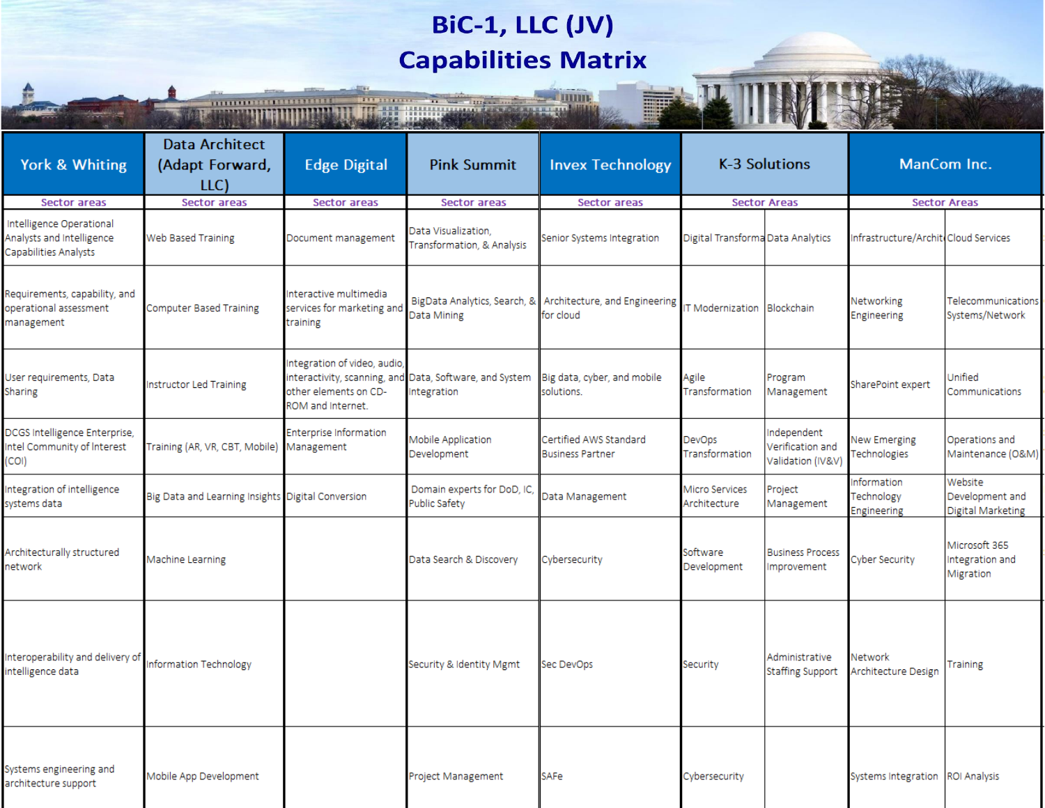## **BiC-1, LLC (JV) Capabilities Matrix**

**TITTE** 

an min

**THE REAL PROPERTY** 

|                                                                                |                                                   | THE R. P. LEWIS CO., LANSING MICH.                                         |                                                                       |                                                   |                                   | <b>THE REAL PROPERTY AND INCOME.</b>                |                                          |                                                 |  |
|--------------------------------------------------------------------------------|---------------------------------------------------|----------------------------------------------------------------------------|-----------------------------------------------------------------------|---------------------------------------------------|-----------------------------------|-----------------------------------------------------|------------------------------------------|-------------------------------------------------|--|
| York & Whiting                                                                 | <b>Data Architect</b><br>(Adapt Forward,<br>LLC)  | <b>Edge Digital</b>                                                        | <b>Pink Summit</b>                                                    | <b>Invex Technology</b>                           | K-3 Solutions                     |                                                     | ManCom Inc.                              |                                                 |  |
| <b>Sector areas</b>                                                            | <b>Sector areas</b>                               | <b>Sector areas</b>                                                        | Sector areas                                                          | <b>Sector areas</b>                               |                                   | <b>Sector Areas</b>                                 |                                          | <b>Sector Areas</b>                             |  |
| Intelligence Operational<br>Analysts and Intelligence<br>Capabilities Analysts | Web Based Training                                | Document management                                                        | Data Visualization.<br>Transformation, & Analysis                     | Senior Systems Integration                        | Digital Transforma Data Analytics |                                                     | Infrastructure/Archit. Cloud Services    |                                                 |  |
| Requirements, capability, and<br>operational assessment<br>management          | Computer Based Training                           | Interactive multimedia<br>services for marketing and<br>training           | BigData Analytics, Search, &<br>Data Mining                           | Architecture, and Engineering<br>for cloud        | <b>T Modernization</b>            | Blockchain                                          | Networking<br>Engineering                | Telecommunications<br>Systems/Network           |  |
| User requirements, Data<br>Sharing                                             | Instructor Led Training                           | Integration of video, audio,<br>other elements on CD-<br>ROM and Internet. | interactivity, scanning, and Data, Software, and System<br>ntegration | Big data, cyber, and mobile<br>solutions.         | Agile<br>Transformation           | Program<br>Management                               | SharePoint expert                        | <b>Unified</b><br>Communications                |  |
| DCGS Intelligence Enterprise,<br>Intel Community of Interest<br>(COI)          | Training (AR, VR, CBT, Mobile)                    | <b>Enterprise Information</b><br>Management                                | Mobile Application<br>Development                                     | Certified AWS Standard<br><b>Business Partner</b> | DevOps<br>Transformation          | ndependent<br>Verification and<br>Validation (IV&V) | New Emerging<br>Technologies             | Operations and<br>Maintenance (O&M)             |  |
| Integration of intelligence<br>systems data                                    | Big Data and Learning Insights Digital Conversion |                                                                            | Domain experts for DoD, IC,<br>Public Safety                          | Data Management                                   | Micro Services<br>Architecture    | Project<br>Management                               | Information<br>Technology<br>Engineering | Website<br>Development and<br>Digital Marketing |  |
| Architecturally structured<br>network                                          | Machine Learning                                  |                                                                            | Data Search & Discovery                                               | Cybersecurity                                     | Software<br>Development           | <b>Business Process</b><br>Improvement              | <b>Cyber Security</b>                    | Microsoft 365<br>ntegration and<br>Migration    |  |
| Interoperability and delivery of<br>intelligence data                          | Information Technology                            |                                                                            | Security & Identity Mgmt                                              | Sec DevOps                                        | Security                          | Administrative<br><b>Staffing Support</b>           | Network<br>Architecture Design           | Training                                        |  |
| Systems engineering and<br>architecture support                                | Mobile App Development                            |                                                                            | Project Management                                                    | <b>SAFe</b>                                       | Cybersecurity                     |                                                     | Systems Integration   ROI Analysis       |                                                 |  |